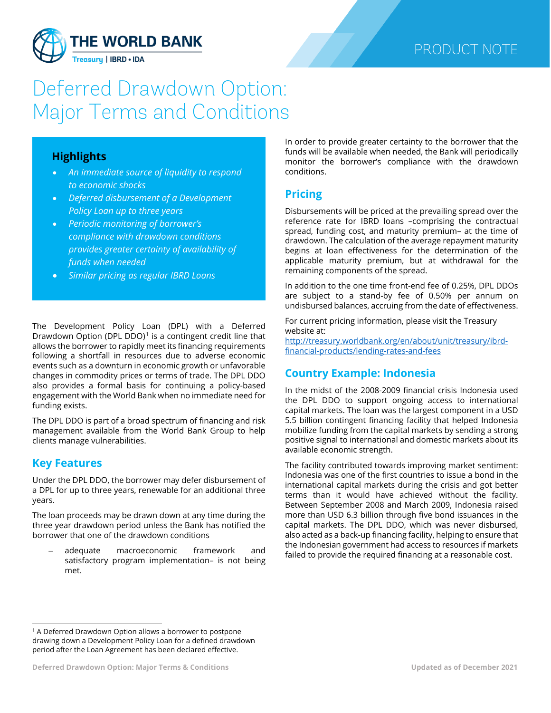

# Deferred Drawdown Option: Major Terms and Conditions

#### **Highlights**

- *An immediate source of liquidity to respond to economic shocks*
- *Deferred disbursement of a Development Policy Loan up to three years*
- *Periodic monitoring of borrower's compliance with drawdown conditions provides greater certainty of availability of funds when needed*
- *Similar pricing as regular IBRD Loans*

The Development Policy Loan (DPL) with a Deferred Drawdown Option (DPL DDO) $<sup>1</sup>$  $<sup>1</sup>$  $<sup>1</sup>$  is a contingent credit line that</sup> allows the borrower to rapidly meet its financing requirements following a shortfall in resources due to adverse economic events such as a downturn in economic growth or unfavorable changes in commodity prices or terms of trade. The DPL DDO also provides a formal basis for continuing a policy-based engagement with the World Bank when no immediate need for funding exists.

The DPL DDO is part of a broad spectrum of financing and risk management available from the World Bank Group to help clients manage vulnerabilities.

## **Key Features**

Under the DPL DDO, the borrower may defer disbursement of a DPL for up to three years, renewable for an additional three years.

The loan proceeds may be drawn down at any time during the three year drawdown period unless the Bank has notified the borrower that one of the drawdown conditions

– adequate macroeconomic framework and satisfactory program implementation– is not being met.

In order to provide greater certainty to the borrower that the funds will be available when needed, the Bank will periodically monitor the borrower's compliance with the drawdown conditions.

### **Pricing**

Disbursements will be priced at the prevailing spread over the reference rate for IBRD loans –comprising the contractual spread, funding cost, and maturity premium– at the time of drawdown. The calculation of the average repayment maturity begins at loan effectiveness for the determination of the applicable maturity premium, but at withdrawal for the remaining components of the spread.

In addition to the one time front-end fee of 0.25%, DPL DDOs are subject to a stand-by fee of 0.50% per annum on undisbursed balances, accruing from the date of effectiveness.

For current pricing information, please visit the Treasury website at: [http://treasury.worldbank.org/en/about/unit/treasury/ibrd-](http://treasury.worldbank.org/en/about/unit/treasury/ibrd-financial-products/lending-rates-and-fees)

[financial-products/lending-rates-and-fees](http://treasury.worldbank.org/en/about/unit/treasury/ibrd-financial-products/lending-rates-and-fees)

# **Country Example: Indonesia**

In the midst of the 2008-2009 financial crisis Indonesia used the DPL DDO to support ongoing access to international capital markets. The loan was the largest component in a USD 5.5 billion contingent financing facility that helped Indonesia mobilize funding from the capital markets by sending a strong positive signal to international and domestic markets about its available economic strength.

The facility contributed towards improving market sentiment: Indonesia was one of the first countries to issue a bond in the international capital markets during the crisis and got better terms than it would have achieved without the facility. Between September 2008 and March 2009, Indonesia raised more than USD 6.3 billion through five bond issuances in the capital markets. The DPL DDO, which was never disbursed, also acted as a back-up financing facility, helping to ensure that the Indonesian government had access to resources if markets failed to provide the required financing at a reasonable cost.

<span id="page-0-0"></span> $1$  A Deferred Drawdown Option allows a borrower to postpone drawing down a Development Policy Loan for a defined drawdown period after the Loan Agreement has been declared effective.